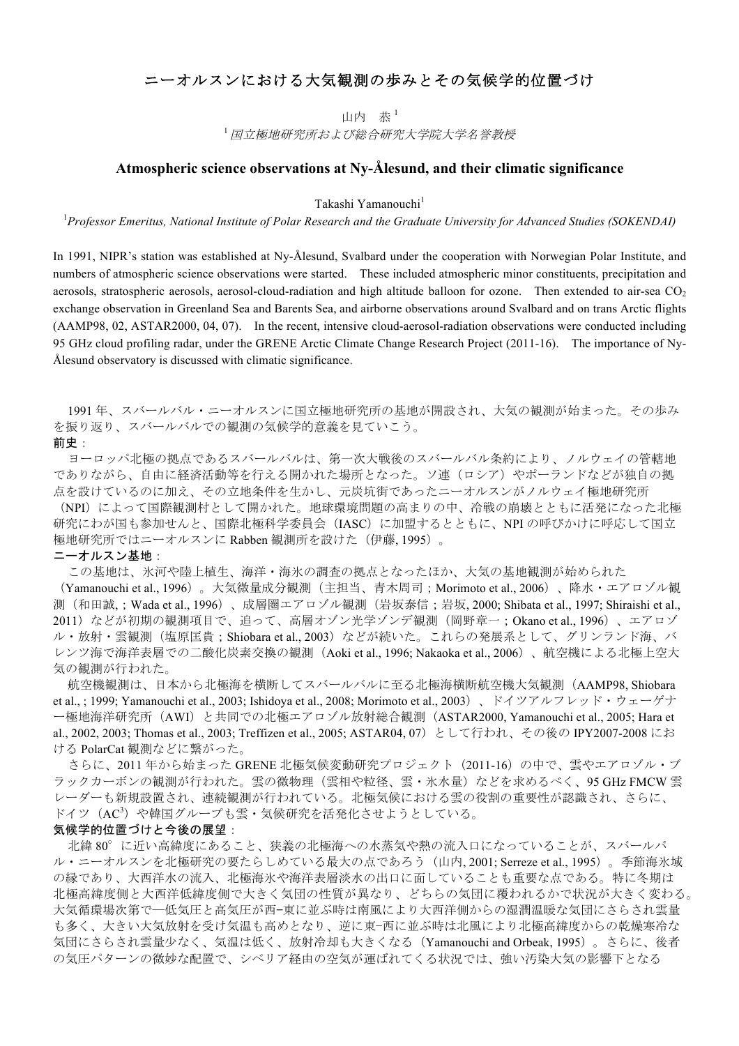# ニーオルスンにおける大気観測の歩みとその気候学的位置づけ

山内 恭 $<sup>1</sup>$ </sup>

<sup>1</sup>国立極地研究所および総合研究大学院大学名誉教授

## **Atmospheric science observations at Ny-Ålesund, and their climatic significance**

Takashi Yamanouchi<sup>1</sup>

1 *Professor Emeritus, National Institute of Polar Research and the Graduate University for Advanced Studies (SOKENDAI)*

In 1991, NIPR's station was established at Ny-Ålesund, Svalbard under the cooperation with Norwegian Polar Institute, and numbers of atmospheric science observations were started. These included atmospheric minor constituents, precipitation and aerosols, stratospheric aerosols, aerosol-cloud-radiation and high altitude balloon for ozone. Then extended to air-sea CO<sub>2</sub> exchange observation in Greenland Sea and Barents Sea, and airborne observations around Svalbard and on trans Arctic flights (AAMP98, 02, ASTAR2000, 04, 07). In the recent, intensive cloud-aerosol-radiation observations were conducted including 95 GHz cloud profiling radar, under the GRENE Arctic Climate Change Research Project (2011-16). The importance of Ny-Ålesund observatory is discussed with climatic significance.

1991 年、スバールバル・ニーオルスンに国立極地研究所の基地が開設され、大気の観測が始まった。その歩み を振り返り、スバールバルでの観測の気候学的意義を見ていこう。

### 前史:

ヨーロッパ北極の拠点であるスバールバルは、第一次大戦後のスバールバル条約により、ノルウェイの管轄地 でありながら、自由に経済活動等を行える開かれた場所となった。ソ連(ロシア)やポーランドなどが独自の拠 点を設けているのに加え、その立地条件を生かし、元炭坑街であったニーオルスンがノルウェイ極地研究所 (NPI)によって国際観測村として開かれた。地球環境問題の高まりの中、冷戦の崩壊とともに活発になった北極

研究にわが国も参加せんと、国際北極科学委員会(IASC)に加盟するとともに、NPI の呼びかけに呼応して国立 極地研究所ではニーオルスンに Rabben 観測所を設けた (伊藤, 1995)。

#### **ニーオルスン基地:**

この基地は、氷河や陸上植生、海洋・海氷の調査の拠点となったほか、大気の基地観測が始められた

(Yamanouchi et al., 1996)。大気微量成分観測(主担当、青木周司;Morimoto et al., 2006)、降水・エアロゾル観 測(和田誠,;Wada et al., 1996)、成層圏エアロゾル観測(岩坂泰信;岩坂, 2000; Shibata et al., 1997; Shiraishi et al., 2011)などが初期の観測項目で、追って、高層オゾン光学ゾンデ観測(岡野章一;Okano et al., 1996)、エアロゾ ル・放射・雲観測(塩原匡貴; Shiobara et al., 2003)などが続いた。これらの発展系として、グリンランド海、バ レンツ海で海洋表層での二酸化炭素交換の観測(Aoki et al., 1996; Nakaoka et al., 2006)、航空機による北極上空大 気の観測が行われた。

航空機観測は、日本から北極海を横断してスバールバルに至る北極海横断航空機大気観測(AAMP98, Shiobara et al., ; 1999; Yamanouchi et al., 2003; Ishidoya et al., 2008; Morimoto et al., 2003)、ドイツアルフレッド・ウェーゲナ ー極地海洋研究所(AWI)と共同での北極エアロゾル放射総合観測(ASTAR2000, Yamanouchi et al., 2005; Hara et al., 2002, 2003; Thomas et al., 2003; Treffizen et al., 2005; ASTAR04, 07)として行われ、その後の IPY2007-2008 にお ける PolarCat 観測などに繋がった。

さらに、2011 年から始まった GRENE 北極気候変動研究プロジェクト(2011-16)の中で、雲やエアロゾル・ブ ラックカーボンの観測が行われた。雲の微物理(雲相や粒径、雲・氷水量)などを求めるべく、95 GHz FMCW 雲 レーダーも新規設置され、連続観測が行われている。北極気候における雲の役割の重要性が認識され、さらに、 ドイツ (AC3) や韓国グループも雲·気候研究を活発化させようとしている。

#### 気候学的位置づけと今後の展望:

北緯 80°に近い高緯度にあること、狭義の北極海への水蒸気や熱の流入口になっていることが、スバールバ ル・ニーオルスンを北極研究の要たらしめている最大の点であろう(山内, 2001; Serreze et al., 1995)。季節海氷域 の縁であり、大西洋水の流入、北極海氷や海洋表層淡水の出口に面していることも重要な点である。特に冬期は 北極高緯度側と大西洋低緯度側で大きく気団の性質が異なり、どちらの気団に覆われるかで状況が大きく変わる。 大気循環場次第で―低気圧と高気圧が西—東に並ぶ時は南風により大西洋側からの湿潤温暖な気団にさらされ雲量 も多く、大きい大気放射を受け気温も高めとなり、逆に東−西に並ぶ時は北風により北極高緯度からの乾燥寒冷な 気団にさらされ雲量少なく、気温は低く、放射冷却も大きくなる(Yamanouchi and Orbeak, 1995)。さらに、後者 の気圧パターンの微妙な配置で、シベリア経由の空気が運ばれてくる状況では、強い汚染大気の影響下となる